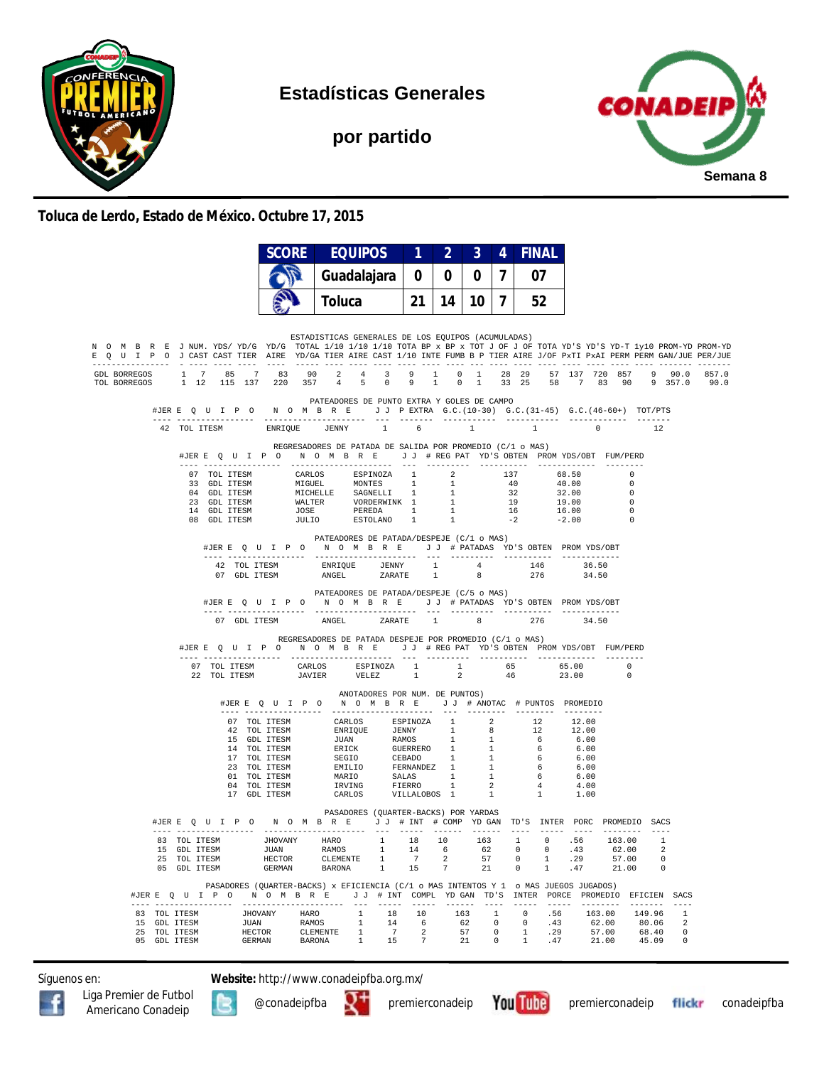

**Estadísticas Generales**

**por partido**



**Toluca de Lerdo, Estado de México. Octubre 17, 2015**

|                                                                                                                                                                                                                                                        |                                                                                                                                                                                                                                                                                                                                                                             | <b>SCORE</b>                                                                                                                                                                                                                             |    |       | <b>EQUIPOS</b>                                            |                                                                                                                                                                                                                                                                                                                                                                                                                                          | $1 \quad 2 \quad$ | $\mathbf{3}$ | 4            |          | <b>FINAL</b> |                |                    |                       |                                                                                  |  |  |  |
|--------------------------------------------------------------------------------------------------------------------------------------------------------------------------------------------------------------------------------------------------------|-----------------------------------------------------------------------------------------------------------------------------------------------------------------------------------------------------------------------------------------------------------------------------------------------------------------------------------------------------------------------------|------------------------------------------------------------------------------------------------------------------------------------------------------------------------------------------------------------------------------------------|----|-------|-----------------------------------------------------------|------------------------------------------------------------------------------------------------------------------------------------------------------------------------------------------------------------------------------------------------------------------------------------------------------------------------------------------------------------------------------------------------------------------------------------------|-------------------|--------------|--------------|----------|--------------|----------------|--------------------|-----------------------|----------------------------------------------------------------------------------|--|--|--|
|                                                                                                                                                                                                                                                        |                                                                                                                                                                                                                                                                                                                                                                             |                                                                                                                                                                                                                                          |    |       | Guadalajara                                               |                                                                                                                                                                                                                                                                                                                                                                                                                                          |                   | 0            | 0            | $\bf{0}$ | $\mathbf{7}$ |                | 07                 |                       |                                                                                  |  |  |  |
|                                                                                                                                                                                                                                                        |                                                                                                                                                                                                                                                                                                                                                                             |                                                                                                                                                                                                                                          |    |       | <b>Toluca</b>                                             |                                                                                                                                                                                                                                                                                                                                                                                                                                          | 14                | 10           | $\mathbf{7}$ |          | 52           |                |                    |                       |                                                                                  |  |  |  |
| N O M B R E J NUM. YDS/YD/G YD/G TOTAL 1/10 1/10 1/10 TOTA BP x BP x TOT J OF J OF TOTA YD'S YD-T 1y10 PROM-YD PROM-YD<br>E Q U I P O J CAST CAST TIER AIRE YD/GA TIER AIRE CAST 1/10 INTE FUMB B P TIER AIRE J/OF PXTI PXAI PERM PERM GAN/JUE PER/JUE |                                                                                                                                                                                                                                                                                                                                                                             |                                                                                                                                                                                                                                          |    |       | ESTADISTICAS GENERALES DE LOS EQUIPOS (ACUMULADAS)        |                                                                                                                                                                                                                                                                                                                                                                                                                                          |                   |              |              |          |              |                |                    |                       |                                                                                  |  |  |  |
| GDL BORREGOS $1 \t 7 \t 85 \t 7$<br>TOL BORREGOS                                                                                                                                                                                                       | 1 12 115 137                                                                                                                                                                                                                                                                                                                                                                | 83<br>220 357                                                                                                                                                                                                                            | 90 |       | 4 5 0                                                     | 9                                                                                                                                                                                                                                                                                                                                                                                                                                        | $\overline{1}$    | $0 \t 1$     |              |          |              |                |                    |                       | 2 4 3 9 1 0 1 28 29 57 137 720 857 9 90.0 857.0<br>33 25 58 7 83 90 9 357.0 90.0 |  |  |  |
|                                                                                                                                                                                                                                                        | #JERE Q U I P O N O M B R E J J P EXTRA G.C. (10-30) G.C. (31-45) G.C. (46-60+) TOT/PTS                                                                                                                                                                                                                                                                                     |                                                                                                                                                                                                                                          |    |       | PATEADORES DE PUNTO EXTRA Y GOLES DE CAMPO                |                                                                                                                                                                                                                                                                                                                                                                                                                                          |                   |              |              |          |              |                |                    |                       |                                                                                  |  |  |  |
|                                                                                                                                                                                                                                                        | 42 TOL ITESM                                                                                                                                                                                                                                                                                                                                                                | ENRIQUE JENNY 1 6                                                                                                                                                                                                                        |    |       |                                                           | $\begin{minipage}{.4\linewidth} \begin{tabular}{l} \hline \textbf{1} & \textbf{2} & \textbf{3} & \textbf{4} & \textbf{5} & \textbf{5} & \textbf{6} & \textbf{6} & \textbf{6} & \textbf{7} & \textbf{8} & \textbf{8} & \textbf{9} & \textbf{9} & \textbf{9} & \textbf{9} & \textbf{9} & \textbf{9} & \textbf{9} & \textbf{9} & \textbf{9} & \textbf{9} & \textbf{9} & \textbf{9} & \textbf{9} & \textbf{9} & \textbf{9} & \textbf{9} & \$ |                   | 1            |              |          | 1            | $\overline{0}$ |                    | $- - - - - - -$<br>12 |                                                                                  |  |  |  |
|                                                                                                                                                                                                                                                        | #JERE QUIPO NOMBRE JJ #REGPAT YD'S OBTEN PROMYDS/OBT FUM/PERD                                                                                                                                                                                                                                                                                                               |                                                                                                                                                                                                                                          |    |       | REGRESADORES DE PATADA DE SALIDA POR PROMEDIO (C/1 o MAS) |                                                                                                                                                                                                                                                                                                                                                                                                                                          |                   |              |              |          |              |                | $\sim$ 0           |                       |                                                                                  |  |  |  |
|                                                                                                                                                                                                                                                        | 07 TOL ITESM CARLOS ESPINOZA 1 2 137 68.50<br>33 GDL ITESM MIGUEL MONTES 1 1 40 40.00<br>04 GDL ITESM MIGUEL SAGNSLLI 1 1 32 32.00<br>23 GDL ITESM MALITER VORDERWINK 1 1 1 9 19.00<br>14 GDL ITESM WALTER VORDERWINK 1 1 19 19.00<br>14                                                                                                                                    |                                                                                                                                                                                                                                          |    |       |                                                           |                                                                                                                                                                                                                                                                                                                                                                                                                                          |                   |              |              |          |              |                | $\sim$ 0           |                       |                                                                                  |  |  |  |
|                                                                                                                                                                                                                                                        |                                                                                                                                                                                                                                                                                                                                                                             |                                                                                                                                                                                                                                          |    |       |                                                           |                                                                                                                                                                                                                                                                                                                                                                                                                                          |                   |              |              |          |              |                | $\sim$ 0           |                       |                                                                                  |  |  |  |
|                                                                                                                                                                                                                                                        |                                                                                                                                                                                                                                                                                                                                                                             |                                                                                                                                                                                                                                          |    |       |                                                           |                                                                                                                                                                                                                                                                                                                                                                                                                                          |                   |              |              |          |              | $-2.00$        | $\overline{0}$     |                       |                                                                                  |  |  |  |
|                                                                                                                                                                                                                                                        |                                                                                                                                                                                                                                                                                                                                                                             | #JERE QUIPO NOMBRE JJ # PATADAS YD'S OBTEN PROMYDS/OBT                                                                                                                                                                                   |    |       | PATEADORES DE PATADA/DESPEJE (C/1 o MAS)                  |                                                                                                                                                                                                                                                                                                                                                                                                                                          |                   |              |              |          |              |                |                    |                       |                                                                                  |  |  |  |
|                                                                                                                                                                                                                                                        |                                                                                                                                                                                                                                                                                                                                                                             |                                                                                                                                                                                                                                          |    |       |                                                           |                                                                                                                                                                                                                                                                                                                                                                                                                                          |                   |              |              |          |              |                |                    |                       |                                                                                  |  |  |  |
|                                                                                                                                                                                                                                                        |                                                                                                                                                                                                                                                                                                                                                                             |                                                                                                                                                                                                                                          |    |       | PATEADORES DE PATADA/DESPEJE (C/5 o MAS)                  |                                                                                                                                                                                                                                                                                                                                                                                                                                          |                   |              |              |          |              |                |                    |                       |                                                                                  |  |  |  |
|                                                                                                                                                                                                                                                        |                                                                                                                                                                                                                                                                                                                                                                             | #JERE Q U I P O N O M B R E J J # PATADAS YD'S OBTEN PROMYDS/OBT                                                                                                                                                                         |    |       |                                                           |                                                                                                                                                                                                                                                                                                                                                                                                                                          |                   |              |              |          |              |                |                    |                       |                                                                                  |  |  |  |
|                                                                                                                                                                                                                                                        |                                                                                                                                                                                                                                                                                                                                                                             | 07 GDL ITESM                                                                                                                                                                                                                             |    | ANGEL |                                                           | ZARATE 1                                                                                                                                                                                                                                                                                                                                                                                                                                 |                   | $-8$         |              | 276      |              | 34.50          |                    |                       |                                                                                  |  |  |  |
|                                                                                                                                                                                                                                                        | #JERE QUIPO NOMBRE JJ #REGPAT YD'S OBTEN PROMYDS/OBT FUM/PERD                                                                                                                                                                                                                                                                                                               |                                                                                                                                                                                                                                          |    |       | REGRESADORES DE PATADA DESPEJE POR PROMEDIO (C/1 o MAS)   |                                                                                                                                                                                                                                                                                                                                                                                                                                          |                   |              |              |          |              |                |                    |                       |                                                                                  |  |  |  |
|                                                                                                                                                                                                                                                        |                                                                                                                                                                                                                                                                                                                                                                             |                                                                                                                                                                                                                                          |    |       |                                                           |                                                                                                                                                                                                                                                                                                                                                                                                                                          |                   |              |              |          |              |                | $\sim$ 0<br>$\cap$ |                       |                                                                                  |  |  |  |
|                                                                                                                                                                                                                                                        |                                                                                                                                                                                                                                                                                                                                                                             | #JERE Q U I P O N O M B R E J J # ANOTAC # PUNTOS PROMEDIO                                                                                                                                                                               |    |       | ANOTADORES POR NUM. DE PUNTOS)                            |                                                                                                                                                                                                                                                                                                                                                                                                                                          |                   |              |              |          |              |                |                    |                       |                                                                                  |  |  |  |
|                                                                                                                                                                                                                                                        |                                                                                                                                                                                                                                                                                                                                                                             | 07 TOL ITESM CARLOS ESPINOZA 1 2 12.00<br>107 TOL ITESM ENRIQUE JENNY 1 8 12 12.00<br>15 GDL ITESM JUAN RAMOS I 1 6 6.00<br>15 GDL ITESM BURN RAMOS 1 1 6 6.00<br>17 TOL ITESM BECICK GUERRERO 1 1 6 6.00<br>17 TOL ITESM BECIC CEBADO 1 |    |       |                                                           |                                                                                                                                                                                                                                                                                                                                                                                                                                          |                   |              |              |          |              |                |                    |                       |                                                                                  |  |  |  |
|                                                                                                                                                                                                                                                        |                                                                                                                                                                                                                                                                                                                                                                             |                                                                                                                                                                                                                                          |    |       |                                                           |                                                                                                                                                                                                                                                                                                                                                                                                                                          |                   |              |              |          |              |                |                    |                       |                                                                                  |  |  |  |
|                                                                                                                                                                                                                                                        |                                                                                                                                                                                                                                                                                                                                                                             |                                                                                                                                                                                                                                          |    |       |                                                           |                                                                                                                                                                                                                                                                                                                                                                                                                                          |                   |              |              |          |              |                |                    |                       |                                                                                  |  |  |  |
|                                                                                                                                                                                                                                                        |                                                                                                                                                                                                                                                                                                                                                                             |                                                                                                                                                                                                                                          |    |       |                                                           |                                                                                                                                                                                                                                                                                                                                                                                                                                          |                   |              |              |          |              |                |                    |                       |                                                                                  |  |  |  |
|                                                                                                                                                                                                                                                        |                                                                                                                                                                                                                                                                                                                                                                             |                                                                                                                                                                                                                                          |    |       |                                                           |                                                                                                                                                                                                                                                                                                                                                                                                                                          |                   |              |              |          |              |                |                    |                       |                                                                                  |  |  |  |
|                                                                                                                                                                                                                                                        |                                                                                                                                                                                                                                                                                                                                                                             |                                                                                                                                                                                                                                          |    |       |                                                           |                                                                                                                                                                                                                                                                                                                                                                                                                                          |                   |              |              |          |              |                |                    |                       |                                                                                  |  |  |  |
|                                                                                                                                                                                                                                                        | #JERE Q U I P O N O M B R E J J # INT # COMP YD GAN TD'S INTER PORC PROMEDIO SACS                                                                                                                                                                                                                                                                                           |                                                                                                                                                                                                                                          |    |       | PASADORES (QUARTER-BACKS) POR YARDAS                      |                                                                                                                                                                                                                                                                                                                                                                                                                                          |                   |              |              |          |              |                |                    |                       |                                                                                  |  |  |  |
|                                                                                                                                                                                                                                                        |                                                                                                                                                                                                                                                                                                                                                                             |                                                                                                                                                                                                                                          |    |       |                                                           |                                                                                                                                                                                                                                                                                                                                                                                                                                          |                   |              |              |          |              |                |                    |                       |                                                                                  |  |  |  |
|                                                                                                                                                                                                                                                        | $\begin{tabular}{cccccccc} \textbf{83} & \textbf{TOL TTS} & \textbf{JHOVANY} & \textbf{HARO} & 1 & 18 & 10 & 163 & 1 & 0 & .56 & 163.00 & 1 \\ \textbf{15} & \textbf{GDL TTSSM} & \textbf{JUAN} & \textbf{RAMOS} & 1 & 14 & 6 & 62 & 0 & 0 & .43 & 62.00 & 2 \\ \textbf{25} & \textbf{TOL TTSSM} & \textbf{HEVTOR} & \textbf{CLMENITE} & 1 & 7 & 2 & 57 & 0 & 1 & .29 & 57$ |                                                                                                                                                                                                                                          |    |       |                                                           |                                                                                                                                                                                                                                                                                                                                                                                                                                          |                   |              |              |          |              |                |                    |                       |                                                                                  |  |  |  |
|                                                                                                                                                                                                                                                        |                                                                                                                                                                                                                                                                                                                                                                             |                                                                                                                                                                                                                                          |    |       |                                                           |                                                                                                                                                                                                                                                                                                                                                                                                                                          |                   |              |              |          |              |                |                    |                       |                                                                                  |  |  |  |
|                                                                                                                                                                                                                                                        | #JERE Q U I P O N O M B R E J J # INT COMPL YDGAN TD'S INTER PORCE PROMEDIO EFICIEN SACS                                                                                                                                                                                                                                                                                    | PASADORES (OUARTER-BACKS) x EFICIENCIA (C/1 o MAS INTENTOS Y 1 o MAS JUEGOS JUGADOS)                                                                                                                                                     |    |       |                                                           |                                                                                                                                                                                                                                                                                                                                                                                                                                          |                   |              |              |          |              |                |                    |                       |                                                                                  |  |  |  |
|                                                                                                                                                                                                                                                        | $\begin{tabular}{cccccccc} 83 & TOL ITESM & JHOVANY & HARO & 1 & 18 & 10 & 163 & 1 & 0 & .56 & 163.00 & 149.96 & 1 \\ 15 & GDL ITTSSM & JUAN & RAMOS & 1 & 14 & 6 & 62 & 0 & 0 & .43 & 62.00 & 80.06 & 2 \\ 25 & TOL ITESM & HECTOR & CLEMENTE & 1 & 7 & 2 & 57 & 0 & 1 & .29 & 57.00 & 68.40 & 0 \\ 05 & GDL ITESM & GERMAN & BARONA & 1 & 15 & 7 & 2$                     |                                                                                                                                                                                                                                          |    |       |                                                           |                                                                                                                                                                                                                                                                                                                                                                                                                                          |                   |              |              |          |              |                |                    |                       |                                                                                  |  |  |  |
|                                                                                                                                                                                                                                                        |                                                                                                                                                                                                                                                                                                                                                                             |                                                                                                                                                                                                                                          |    |       |                                                           |                                                                                                                                                                                                                                                                                                                                                                                                                                          |                   |              |              |          |              |                |                    |                       |                                                                                  |  |  |  |
|                                                                                                                                                                                                                                                        |                                                                                                                                                                                                                                                                                                                                                                             |                                                                                                                                                                                                                                          |    |       |                                                           |                                                                                                                                                                                                                                                                                                                                                                                                                                          |                   |              |              |          |              |                |                    |                       |                                                                                  |  |  |  |

Síguenos en: **Website:** http://www.conadeipfba.org.mx/







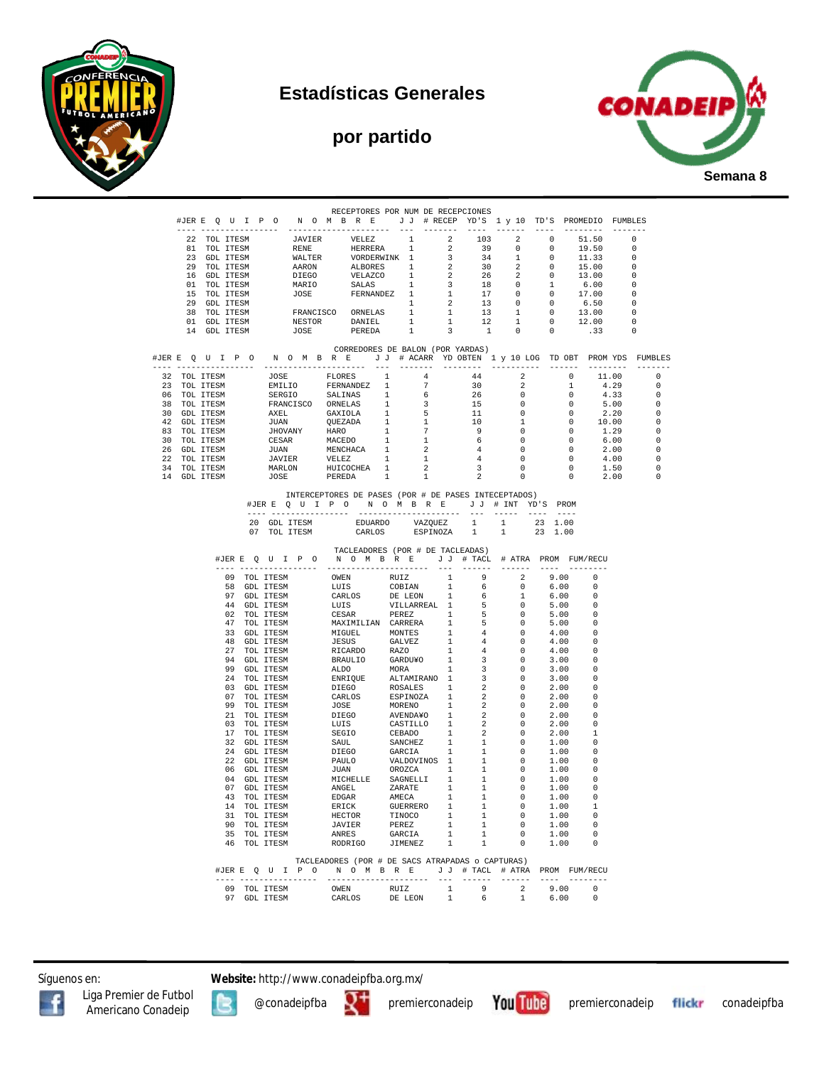







| #JERE QUIPONOMBRE JJ #RECEP YD'S 1 y 10 TD'S PROMEDIO FUMBLES<br>$\begin{tabular}{cccccccc} \texttt{21} & \texttt{31} & \texttt{32} & \texttt{43} & \texttt{53} & \texttt{54} & \texttt{55} & \texttt{56} & \texttt{66} & \texttt{67} & \texttt{68} & \texttt{68} & \texttt{69} & \texttt{60} & \texttt{60} & \texttt{60} & \texttt{60} & \texttt{60} \\ \texttt{31} & \texttt{TOL TTSSM} & \texttt{1} & \texttt{1} & \texttt{1} & \texttt{2} & \texttt{2} & \texttt{39} & \texttt{0}$<br>CORREDORES DE BALON (POR YARDAS)<br>$\begin{tabular}{ll} \multicolumn{2}{c}{\textbf{1}} & \multicolumn{2}{c}{\textbf{2}} & \multicolumn{2}{c}{\textbf{3}} & \multicolumn{2}{c}{\textbf{4}} & \multicolumn{2}{c}{\textbf{5}} & \multicolumn{2}{c}{\textbf{6}} & \multicolumn{2}{c}{\textbf{7}} & \multicolumn{2}{c}{\textbf{8}} & \multicolumn{2}{c}{\textbf{9}} & \multicolumn{2}{c}{\textbf{1}} & \multicolumn{2}{c}{\textbf{1}} & \multicolumn{2}{c}{\textbf{1}} & \multicolumn{2}{c}{\textbf{1}} & \multicolumn$<br>$\begin{array}{cccc} 1 & -1 & -1 & -1 & -1 & -1 \\ 44 & 2 & 0 & \\ 30 & 2 & 1 & \\ 26 & 0 & 0 & \\ 15 & 0 & 0 & \\ 11 & 0 & 0 & \\ 9 & 1 & 0 & \\ 9 & 0 & 0 & \\ 4 & 0 & 0 & \\ 4 & 0 & 0 & \\ 4 & 0 & 0 & \\ 2 & 0 & 0 & \\ \end{array}$<br>11.00<br>$4.29$<br>$4.33$<br>30<br>26<br>15<br>5.00<br>$2.20$ $10.00$<br>1.29<br>6.00<br>2.00<br>INTERCEPTORES DE PASES (POR # DE PASES INTECEPTADOS)<br>#JERE QUIPONOMBRE JJ # INT YD'S PROM<br>$\begin{tabular}{lcccccc} 20 & GDL TTESM & & & EDUARDO & & VAZQUEZ & 1 & 1 & 23 & 1.00 \\ 07 & TOL TTESM & & & CARLOS & & ESPINOZA & 1 & 1 & 23 & 1.00 \\ \end{tabular}$<br>TACLEADORES (POR # DE TACLEADAS)<br>#JERE QUIPO NOMBRE JJ # TACL # ATRA PROM FUM/RECU<br>$\begin{array}{c} 2 \\ 0 \\ 1 \\ 0 \end{array}$<br>9.00<br>$\Omega$<br>$6.00\,$<br>$\Omega$<br>6.00<br>$\mathbf 0$<br>5.00<br>0<br>$\overline{0}$<br>5.00<br>$\Omega$<br>$\overline{\phantom{0}}$<br>5.00<br>$^{\circ}$<br>$\overline{0}$<br>4.00<br>$\Omega$<br>$\overline{0}$<br>4.00<br>$\mathbf 0$<br>$\overline{0}$<br>4.00<br>0<br>$\overline{0}$<br>3.00<br>$\Omega$<br>$\overline{0}$<br>3.00<br>$\Omega$<br>$\overline{0}$<br>3.00<br>$\Omega$<br>$\overline{0}$<br>2.00<br>0<br>$\overline{0}$<br>2.00<br>- 0<br>$\overline{2}$<br>$\overline{0}$<br>2.00<br>$\Omega$<br>$\overline{2}$<br>$\overline{0}$<br>2.00<br>$\Omega$<br>$\overline{2}$<br>$\overline{0}$<br>2.00<br>$\overline{2}$<br>2.00<br>$\overline{0}$<br>1<br>$\overline{0}$<br>1.00<br>$\begin{array}{c} 1 \\ 1 \\ 1 \end{array}$<br>$\overline{\phantom{0}}$<br>1.00<br>$\Omega$<br>$\overline{\phantom{0}}$<br>1.00<br>. വ<br>$\overline{0}$<br>1.00<br>$\overline{\phantom{0}}$<br>1<br>1.00<br>$\overline{\phantom{0}}$<br>. വ<br>$\begin{array}{c} 1 \\ 1 \\ 1 \\ \end{array}$<br>$\overline{\phantom{0}}$<br>1.00<br>$\overline{0}$<br>1.00<br>$\overline{\phantom{0}}$<br>$\overline{\phantom{0}}$<br>$\overline{\mathbf{0}}$<br>1.00<br>$\overline{1}$<br>$\begin{smallmatrix}1\\1\end{smallmatrix}$<br>$\overline{\mathbf{0}}$<br>1.00<br>$\Omega$<br>$\overline{\phantom{0}}$<br>1.00<br>$\Omega$<br>$\begin{array}{ccc} 1 & & 0 \\ 1 & & 0 \end{array}$<br>1.00<br>$\Omega$ |                                  |  |  | RECEPTORES POR NUM DE RECEPCIONES |  |  |  |
|-------------------------------------------------------------------------------------------------------------------------------------------------------------------------------------------------------------------------------------------------------------------------------------------------------------------------------------------------------------------------------------------------------------------------------------------------------------------------------------------------------------------------------------------------------------------------------------------------------------------------------------------------------------------------------------------------------------------------------------------------------------------------------------------------------------------------------------------------------------------------------------------------------------------------------------------------------------------------------------------------------------------------------------------------------------------------------------------------------------------------------------------------------------------------------------------------------------------------------------------------------------------------------------------------------------------------------------------------------------------------------------------------------------------------------------------------------------------------------------------------------------------------------------------------------------------------------------------------------------------------------------------------------------------------------------------------------------------------------------------------------------------------------------------------------------------------------------------------------------------------------------------------------------------------------------------------------------------------------------------------------------------------------------------------------------------------------------------------------------------------------------------------------------------------------------------------------------------------------------------------------------------------------------------------------------------------------------------------------------------------------------------------------------------------------------------------------------------------------------------------------------------------------------------------------------------------------------------------------------------------------------------------------------------------------------------------------------------------------------------------------------------------------------------------------------------------------------------------------------------------------------------------------------------------------------------------------------------------------------------------------------------------------------------------------------------------------------------------------------------------------------------------------------------------------------------------------|----------------------------------|--|--|-----------------------------------|--|--|--|
|                                                                                                                                                                                                                                                                                                                                                                                                                                                                                                                                                                                                                                                                                                                                                                                                                                                                                                                                                                                                                                                                                                                                                                                                                                                                                                                                                                                                                                                                                                                                                                                                                                                                                                                                                                                                                                                                                                                                                                                                                                                                                                                                                                                                                                                                                                                                                                                                                                                                                                                                                                                                                                                                                                                                                                                                                                                                                                                                                                                                                                                                                                                                                                                                       |                                  |  |  |                                   |  |  |  |
|                                                                                                                                                                                                                                                                                                                                                                                                                                                                                                                                                                                                                                                                                                                                                                                                                                                                                                                                                                                                                                                                                                                                                                                                                                                                                                                                                                                                                                                                                                                                                                                                                                                                                                                                                                                                                                                                                                                                                                                                                                                                                                                                                                                                                                                                                                                                                                                                                                                                                                                                                                                                                                                                                                                                                                                                                                                                                                                                                                                                                                                                                                                                                                                                       |                                  |  |  |                                   |  |  |  |
|                                                                                                                                                                                                                                                                                                                                                                                                                                                                                                                                                                                                                                                                                                                                                                                                                                                                                                                                                                                                                                                                                                                                                                                                                                                                                                                                                                                                                                                                                                                                                                                                                                                                                                                                                                                                                                                                                                                                                                                                                                                                                                                                                                                                                                                                                                                                                                                                                                                                                                                                                                                                                                                                                                                                                                                                                                                                                                                                                                                                                                                                                                                                                                                                       |                                  |  |  |                                   |  |  |  |
|                                                                                                                                                                                                                                                                                                                                                                                                                                                                                                                                                                                                                                                                                                                                                                                                                                                                                                                                                                                                                                                                                                                                                                                                                                                                                                                                                                                                                                                                                                                                                                                                                                                                                                                                                                                                                                                                                                                                                                                                                                                                                                                                                                                                                                                                                                                                                                                                                                                                                                                                                                                                                                                                                                                                                                                                                                                                                                                                                                                                                                                                                                                                                                                                       |                                  |  |  |                                   |  |  |  |
|                                                                                                                                                                                                                                                                                                                                                                                                                                                                                                                                                                                                                                                                                                                                                                                                                                                                                                                                                                                                                                                                                                                                                                                                                                                                                                                                                                                                                                                                                                                                                                                                                                                                                                                                                                                                                                                                                                                                                                                                                                                                                                                                                                                                                                                                                                                                                                                                                                                                                                                                                                                                                                                                                                                                                                                                                                                                                                                                                                                                                                                                                                                                                                                                       |                                  |  |  |                                   |  |  |  |
|                                                                                                                                                                                                                                                                                                                                                                                                                                                                                                                                                                                                                                                                                                                                                                                                                                                                                                                                                                                                                                                                                                                                                                                                                                                                                                                                                                                                                                                                                                                                                                                                                                                                                                                                                                                                                                                                                                                                                                                                                                                                                                                                                                                                                                                                                                                                                                                                                                                                                                                                                                                                                                                                                                                                                                                                                                                                                                                                                                                                                                                                                                                                                                                                       |                                  |  |  |                                   |  |  |  |
|                                                                                                                                                                                                                                                                                                                                                                                                                                                                                                                                                                                                                                                                                                                                                                                                                                                                                                                                                                                                                                                                                                                                                                                                                                                                                                                                                                                                                                                                                                                                                                                                                                                                                                                                                                                                                                                                                                                                                                                                                                                                                                                                                                                                                                                                                                                                                                                                                                                                                                                                                                                                                                                                                                                                                                                                                                                                                                                                                                                                                                                                                                                                                                                                       |                                  |  |  |                                   |  |  |  |
|                                                                                                                                                                                                                                                                                                                                                                                                                                                                                                                                                                                                                                                                                                                                                                                                                                                                                                                                                                                                                                                                                                                                                                                                                                                                                                                                                                                                                                                                                                                                                                                                                                                                                                                                                                                                                                                                                                                                                                                                                                                                                                                                                                                                                                                                                                                                                                                                                                                                                                                                                                                                                                                                                                                                                                                                                                                                                                                                                                                                                                                                                                                                                                                                       |                                  |  |  |                                   |  |  |  |
|                                                                                                                                                                                                                                                                                                                                                                                                                                                                                                                                                                                                                                                                                                                                                                                                                                                                                                                                                                                                                                                                                                                                                                                                                                                                                                                                                                                                                                                                                                                                                                                                                                                                                                                                                                                                                                                                                                                                                                                                                                                                                                                                                                                                                                                                                                                                                                                                                                                                                                                                                                                                                                                                                                                                                                                                                                                                                                                                                                                                                                                                                                                                                                                                       |                                  |  |  |                                   |  |  |  |
|                                                                                                                                                                                                                                                                                                                                                                                                                                                                                                                                                                                                                                                                                                                                                                                                                                                                                                                                                                                                                                                                                                                                                                                                                                                                                                                                                                                                                                                                                                                                                                                                                                                                                                                                                                                                                                                                                                                                                                                                                                                                                                                                                                                                                                                                                                                                                                                                                                                                                                                                                                                                                                                                                                                                                                                                                                                                                                                                                                                                                                                                                                                                                                                                       |                                  |  |  |                                   |  |  |  |
|                                                                                                                                                                                                                                                                                                                                                                                                                                                                                                                                                                                                                                                                                                                                                                                                                                                                                                                                                                                                                                                                                                                                                                                                                                                                                                                                                                                                                                                                                                                                                                                                                                                                                                                                                                                                                                                                                                                                                                                                                                                                                                                                                                                                                                                                                                                                                                                                                                                                                                                                                                                                                                                                                                                                                                                                                                                                                                                                                                                                                                                                                                                                                                                                       |                                  |  |  |                                   |  |  |  |
|                                                                                                                                                                                                                                                                                                                                                                                                                                                                                                                                                                                                                                                                                                                                                                                                                                                                                                                                                                                                                                                                                                                                                                                                                                                                                                                                                                                                                                                                                                                                                                                                                                                                                                                                                                                                                                                                                                                                                                                                                                                                                                                                                                                                                                                                                                                                                                                                                                                                                                                                                                                                                                                                                                                                                                                                                                                                                                                                                                                                                                                                                                                                                                                                       |                                  |  |  |                                   |  |  |  |
|                                                                                                                                                                                                                                                                                                                                                                                                                                                                                                                                                                                                                                                                                                                                                                                                                                                                                                                                                                                                                                                                                                                                                                                                                                                                                                                                                                                                                                                                                                                                                                                                                                                                                                                                                                                                                                                                                                                                                                                                                                                                                                                                                                                                                                                                                                                                                                                                                                                                                                                                                                                                                                                                                                                                                                                                                                                                                                                                                                                                                                                                                                                                                                                                       |                                  |  |  |                                   |  |  |  |
|                                                                                                                                                                                                                                                                                                                                                                                                                                                                                                                                                                                                                                                                                                                                                                                                                                                                                                                                                                                                                                                                                                                                                                                                                                                                                                                                                                                                                                                                                                                                                                                                                                                                                                                                                                                                                                                                                                                                                                                                                                                                                                                                                                                                                                                                                                                                                                                                                                                                                                                                                                                                                                                                                                                                                                                                                                                                                                                                                                                                                                                                                                                                                                                                       |                                  |  |  |                                   |  |  |  |
|                                                                                                                                                                                                                                                                                                                                                                                                                                                                                                                                                                                                                                                                                                                                                                                                                                                                                                                                                                                                                                                                                                                                                                                                                                                                                                                                                                                                                                                                                                                                                                                                                                                                                                                                                                                                                                                                                                                                                                                                                                                                                                                                                                                                                                                                                                                                                                                                                                                                                                                                                                                                                                                                                                                                                                                                                                                                                                                                                                                                                                                                                                                                                                                                       |                                  |  |  |                                   |  |  |  |
|                                                                                                                                                                                                                                                                                                                                                                                                                                                                                                                                                                                                                                                                                                                                                                                                                                                                                                                                                                                                                                                                                                                                                                                                                                                                                                                                                                                                                                                                                                                                                                                                                                                                                                                                                                                                                                                                                                                                                                                                                                                                                                                                                                                                                                                                                                                                                                                                                                                                                                                                                                                                                                                                                                                                                                                                                                                                                                                                                                                                                                                                                                                                                                                                       | $\overline{0}$<br>$\overline{0}$ |  |  |                                   |  |  |  |
|                                                                                                                                                                                                                                                                                                                                                                                                                                                                                                                                                                                                                                                                                                                                                                                                                                                                                                                                                                                                                                                                                                                                                                                                                                                                                                                                                                                                                                                                                                                                                                                                                                                                                                                                                                                                                                                                                                                                                                                                                                                                                                                                                                                                                                                                                                                                                                                                                                                                                                                                                                                                                                                                                                                                                                                                                                                                                                                                                                                                                                                                                                                                                                                                       | $\hspace{0.1cm} 0$               |  |  |                                   |  |  |  |
|                                                                                                                                                                                                                                                                                                                                                                                                                                                                                                                                                                                                                                                                                                                                                                                                                                                                                                                                                                                                                                                                                                                                                                                                                                                                                                                                                                                                                                                                                                                                                                                                                                                                                                                                                                                                                                                                                                                                                                                                                                                                                                                                                                                                                                                                                                                                                                                                                                                                                                                                                                                                                                                                                                                                                                                                                                                                                                                                                                                                                                                                                                                                                                                                       | $\overline{\phantom{0}}$         |  |  |                                   |  |  |  |
|                                                                                                                                                                                                                                                                                                                                                                                                                                                                                                                                                                                                                                                                                                                                                                                                                                                                                                                                                                                                                                                                                                                                                                                                                                                                                                                                                                                                                                                                                                                                                                                                                                                                                                                                                                                                                                                                                                                                                                                                                                                                                                                                                                                                                                                                                                                                                                                                                                                                                                                                                                                                                                                                                                                                                                                                                                                                                                                                                                                                                                                                                                                                                                                                       | $\overline{0}$                   |  |  |                                   |  |  |  |
|                                                                                                                                                                                                                                                                                                                                                                                                                                                                                                                                                                                                                                                                                                                                                                                                                                                                                                                                                                                                                                                                                                                                                                                                                                                                                                                                                                                                                                                                                                                                                                                                                                                                                                                                                                                                                                                                                                                                                                                                                                                                                                                                                                                                                                                                                                                                                                                                                                                                                                                                                                                                                                                                                                                                                                                                                                                                                                                                                                                                                                                                                                                                                                                                       | $\overline{0}$                   |  |  |                                   |  |  |  |
|                                                                                                                                                                                                                                                                                                                                                                                                                                                                                                                                                                                                                                                                                                                                                                                                                                                                                                                                                                                                                                                                                                                                                                                                                                                                                                                                                                                                                                                                                                                                                                                                                                                                                                                                                                                                                                                                                                                                                                                                                                                                                                                                                                                                                                                                                                                                                                                                                                                                                                                                                                                                                                                                                                                                                                                                                                                                                                                                                                                                                                                                                                                                                                                                       | $\overline{0}$                   |  |  |                                   |  |  |  |
|                                                                                                                                                                                                                                                                                                                                                                                                                                                                                                                                                                                                                                                                                                                                                                                                                                                                                                                                                                                                                                                                                                                                                                                                                                                                                                                                                                                                                                                                                                                                                                                                                                                                                                                                                                                                                                                                                                                                                                                                                                                                                                                                                                                                                                                                                                                                                                                                                                                                                                                                                                                                                                                                                                                                                                                                                                                                                                                                                                                                                                                                                                                                                                                                       | $\overline{0}$                   |  |  |                                   |  |  |  |
|                                                                                                                                                                                                                                                                                                                                                                                                                                                                                                                                                                                                                                                                                                                                                                                                                                                                                                                                                                                                                                                                                                                                                                                                                                                                                                                                                                                                                                                                                                                                                                                                                                                                                                                                                                                                                                                                                                                                                                                                                                                                                                                                                                                                                                                                                                                                                                                                                                                                                                                                                                                                                                                                                                                                                                                                                                                                                                                                                                                                                                                                                                                                                                                                       | $\overline{\phantom{0}}$         |  |  |                                   |  |  |  |
|                                                                                                                                                                                                                                                                                                                                                                                                                                                                                                                                                                                                                                                                                                                                                                                                                                                                                                                                                                                                                                                                                                                                                                                                                                                                                                                                                                                                                                                                                                                                                                                                                                                                                                                                                                                                                                                                                                                                                                                                                                                                                                                                                                                                                                                                                                                                                                                                                                                                                                                                                                                                                                                                                                                                                                                                                                                                                                                                                                                                                                                                                                                                                                                                       | 4.00<br>$\overline{0}$           |  |  |                                   |  |  |  |
|                                                                                                                                                                                                                                                                                                                                                                                                                                                                                                                                                                                                                                                                                                                                                                                                                                                                                                                                                                                                                                                                                                                                                                                                                                                                                                                                                                                                                                                                                                                                                                                                                                                                                                                                                                                                                                                                                                                                                                                                                                                                                                                                                                                                                                                                                                                                                                                                                                                                                                                                                                                                                                                                                                                                                                                                                                                                                                                                                                                                                                                                                                                                                                                                       | 1.50<br>$\overline{\phantom{0}}$ |  |  |                                   |  |  |  |
|                                                                                                                                                                                                                                                                                                                                                                                                                                                                                                                                                                                                                                                                                                                                                                                                                                                                                                                                                                                                                                                                                                                                                                                                                                                                                                                                                                                                                                                                                                                                                                                                                                                                                                                                                                                                                                                                                                                                                                                                                                                                                                                                                                                                                                                                                                                                                                                                                                                                                                                                                                                                                                                                                                                                                                                                                                                                                                                                                                                                                                                                                                                                                                                                       | 2.00<br>$\Omega$                 |  |  |                                   |  |  |  |
|                                                                                                                                                                                                                                                                                                                                                                                                                                                                                                                                                                                                                                                                                                                                                                                                                                                                                                                                                                                                                                                                                                                                                                                                                                                                                                                                                                                                                                                                                                                                                                                                                                                                                                                                                                                                                                                                                                                                                                                                                                                                                                                                                                                                                                                                                                                                                                                                                                                                                                                                                                                                                                                                                                                                                                                                                                                                                                                                                                                                                                                                                                                                                                                                       |                                  |  |  |                                   |  |  |  |
|                                                                                                                                                                                                                                                                                                                                                                                                                                                                                                                                                                                                                                                                                                                                                                                                                                                                                                                                                                                                                                                                                                                                                                                                                                                                                                                                                                                                                                                                                                                                                                                                                                                                                                                                                                                                                                                                                                                                                                                                                                                                                                                                                                                                                                                                                                                                                                                                                                                                                                                                                                                                                                                                                                                                                                                                                                                                                                                                                                                                                                                                                                                                                                                                       |                                  |  |  |                                   |  |  |  |
|                                                                                                                                                                                                                                                                                                                                                                                                                                                                                                                                                                                                                                                                                                                                                                                                                                                                                                                                                                                                                                                                                                                                                                                                                                                                                                                                                                                                                                                                                                                                                                                                                                                                                                                                                                                                                                                                                                                                                                                                                                                                                                                                                                                                                                                                                                                                                                                                                                                                                                                                                                                                                                                                                                                                                                                                                                                                                                                                                                                                                                                                                                                                                                                                       |                                  |  |  |                                   |  |  |  |
|                                                                                                                                                                                                                                                                                                                                                                                                                                                                                                                                                                                                                                                                                                                                                                                                                                                                                                                                                                                                                                                                                                                                                                                                                                                                                                                                                                                                                                                                                                                                                                                                                                                                                                                                                                                                                                                                                                                                                                                                                                                                                                                                                                                                                                                                                                                                                                                                                                                                                                                                                                                                                                                                                                                                                                                                                                                                                                                                                                                                                                                                                                                                                                                                       |                                  |  |  |                                   |  |  |  |
|                                                                                                                                                                                                                                                                                                                                                                                                                                                                                                                                                                                                                                                                                                                                                                                                                                                                                                                                                                                                                                                                                                                                                                                                                                                                                                                                                                                                                                                                                                                                                                                                                                                                                                                                                                                                                                                                                                                                                                                                                                                                                                                                                                                                                                                                                                                                                                                                                                                                                                                                                                                                                                                                                                                                                                                                                                                                                                                                                                                                                                                                                                                                                                                                       |                                  |  |  |                                   |  |  |  |
|                                                                                                                                                                                                                                                                                                                                                                                                                                                                                                                                                                                                                                                                                                                                                                                                                                                                                                                                                                                                                                                                                                                                                                                                                                                                                                                                                                                                                                                                                                                                                                                                                                                                                                                                                                                                                                                                                                                                                                                                                                                                                                                                                                                                                                                                                                                                                                                                                                                                                                                                                                                                                                                                                                                                                                                                                                                                                                                                                                                                                                                                                                                                                                                                       |                                  |  |  |                                   |  |  |  |
|                                                                                                                                                                                                                                                                                                                                                                                                                                                                                                                                                                                                                                                                                                                                                                                                                                                                                                                                                                                                                                                                                                                                                                                                                                                                                                                                                                                                                                                                                                                                                                                                                                                                                                                                                                                                                                                                                                                                                                                                                                                                                                                                                                                                                                                                                                                                                                                                                                                                                                                                                                                                                                                                                                                                                                                                                                                                                                                                                                                                                                                                                                                                                                                                       |                                  |  |  |                                   |  |  |  |
|                                                                                                                                                                                                                                                                                                                                                                                                                                                                                                                                                                                                                                                                                                                                                                                                                                                                                                                                                                                                                                                                                                                                                                                                                                                                                                                                                                                                                                                                                                                                                                                                                                                                                                                                                                                                                                                                                                                                                                                                                                                                                                                                                                                                                                                                                                                                                                                                                                                                                                                                                                                                                                                                                                                                                                                                                                                                                                                                                                                                                                                                                                                                                                                                       |                                  |  |  |                                   |  |  |  |
|                                                                                                                                                                                                                                                                                                                                                                                                                                                                                                                                                                                                                                                                                                                                                                                                                                                                                                                                                                                                                                                                                                                                                                                                                                                                                                                                                                                                                                                                                                                                                                                                                                                                                                                                                                                                                                                                                                                                                                                                                                                                                                                                                                                                                                                                                                                                                                                                                                                                                                                                                                                                                                                                                                                                                                                                                                                                                                                                                                                                                                                                                                                                                                                                       |                                  |  |  |                                   |  |  |  |
|                                                                                                                                                                                                                                                                                                                                                                                                                                                                                                                                                                                                                                                                                                                                                                                                                                                                                                                                                                                                                                                                                                                                                                                                                                                                                                                                                                                                                                                                                                                                                                                                                                                                                                                                                                                                                                                                                                                                                                                                                                                                                                                                                                                                                                                                                                                                                                                                                                                                                                                                                                                                                                                                                                                                                                                                                                                                                                                                                                                                                                                                                                                                                                                                       |                                  |  |  |                                   |  |  |  |
|                                                                                                                                                                                                                                                                                                                                                                                                                                                                                                                                                                                                                                                                                                                                                                                                                                                                                                                                                                                                                                                                                                                                                                                                                                                                                                                                                                                                                                                                                                                                                                                                                                                                                                                                                                                                                                                                                                                                                                                                                                                                                                                                                                                                                                                                                                                                                                                                                                                                                                                                                                                                                                                                                                                                                                                                                                                                                                                                                                                                                                                                                                                                                                                                       |                                  |  |  |                                   |  |  |  |
|                                                                                                                                                                                                                                                                                                                                                                                                                                                                                                                                                                                                                                                                                                                                                                                                                                                                                                                                                                                                                                                                                                                                                                                                                                                                                                                                                                                                                                                                                                                                                                                                                                                                                                                                                                                                                                                                                                                                                                                                                                                                                                                                                                                                                                                                                                                                                                                                                                                                                                                                                                                                                                                                                                                                                                                                                                                                                                                                                                                                                                                                                                                                                                                                       |                                  |  |  |                                   |  |  |  |
|                                                                                                                                                                                                                                                                                                                                                                                                                                                                                                                                                                                                                                                                                                                                                                                                                                                                                                                                                                                                                                                                                                                                                                                                                                                                                                                                                                                                                                                                                                                                                                                                                                                                                                                                                                                                                                                                                                                                                                                                                                                                                                                                                                                                                                                                                                                                                                                                                                                                                                                                                                                                                                                                                                                                                                                                                                                                                                                                                                                                                                                                                                                                                                                                       |                                  |  |  |                                   |  |  |  |
|                                                                                                                                                                                                                                                                                                                                                                                                                                                                                                                                                                                                                                                                                                                                                                                                                                                                                                                                                                                                                                                                                                                                                                                                                                                                                                                                                                                                                                                                                                                                                                                                                                                                                                                                                                                                                                                                                                                                                                                                                                                                                                                                                                                                                                                                                                                                                                                                                                                                                                                                                                                                                                                                                                                                                                                                                                                                                                                                                                                                                                                                                                                                                                                                       |                                  |  |  |                                   |  |  |  |
|                                                                                                                                                                                                                                                                                                                                                                                                                                                                                                                                                                                                                                                                                                                                                                                                                                                                                                                                                                                                                                                                                                                                                                                                                                                                                                                                                                                                                                                                                                                                                                                                                                                                                                                                                                                                                                                                                                                                                                                                                                                                                                                                                                                                                                                                                                                                                                                                                                                                                                                                                                                                                                                                                                                                                                                                                                                                                                                                                                                                                                                                                                                                                                                                       |                                  |  |  |                                   |  |  |  |
|                                                                                                                                                                                                                                                                                                                                                                                                                                                                                                                                                                                                                                                                                                                                                                                                                                                                                                                                                                                                                                                                                                                                                                                                                                                                                                                                                                                                                                                                                                                                                                                                                                                                                                                                                                                                                                                                                                                                                                                                                                                                                                                                                                                                                                                                                                                                                                                                                                                                                                                                                                                                                                                                                                                                                                                                                                                                                                                                                                                                                                                                                                                                                                                                       |                                  |  |  |                                   |  |  |  |
|                                                                                                                                                                                                                                                                                                                                                                                                                                                                                                                                                                                                                                                                                                                                                                                                                                                                                                                                                                                                                                                                                                                                                                                                                                                                                                                                                                                                                                                                                                                                                                                                                                                                                                                                                                                                                                                                                                                                                                                                                                                                                                                                                                                                                                                                                                                                                                                                                                                                                                                                                                                                                                                                                                                                                                                                                                                                                                                                                                                                                                                                                                                                                                                                       |                                  |  |  |                                   |  |  |  |
|                                                                                                                                                                                                                                                                                                                                                                                                                                                                                                                                                                                                                                                                                                                                                                                                                                                                                                                                                                                                                                                                                                                                                                                                                                                                                                                                                                                                                                                                                                                                                                                                                                                                                                                                                                                                                                                                                                                                                                                                                                                                                                                                                                                                                                                                                                                                                                                                                                                                                                                                                                                                                                                                                                                                                                                                                                                                                                                                                                                                                                                                                                                                                                                                       |                                  |  |  |                                   |  |  |  |
|                                                                                                                                                                                                                                                                                                                                                                                                                                                                                                                                                                                                                                                                                                                                                                                                                                                                                                                                                                                                                                                                                                                                                                                                                                                                                                                                                                                                                                                                                                                                                                                                                                                                                                                                                                                                                                                                                                                                                                                                                                                                                                                                                                                                                                                                                                                                                                                                                                                                                                                                                                                                                                                                                                                                                                                                                                                                                                                                                                                                                                                                                                                                                                                                       |                                  |  |  |                                   |  |  |  |
|                                                                                                                                                                                                                                                                                                                                                                                                                                                                                                                                                                                                                                                                                                                                                                                                                                                                                                                                                                                                                                                                                                                                                                                                                                                                                                                                                                                                                                                                                                                                                                                                                                                                                                                                                                                                                                                                                                                                                                                                                                                                                                                                                                                                                                                                                                                                                                                                                                                                                                                                                                                                                                                                                                                                                                                                                                                                                                                                                                                                                                                                                                                                                                                                       |                                  |  |  |                                   |  |  |  |
|                                                                                                                                                                                                                                                                                                                                                                                                                                                                                                                                                                                                                                                                                                                                                                                                                                                                                                                                                                                                                                                                                                                                                                                                                                                                                                                                                                                                                                                                                                                                                                                                                                                                                                                                                                                                                                                                                                                                                                                                                                                                                                                                                                                                                                                                                                                                                                                                                                                                                                                                                                                                                                                                                                                                                                                                                                                                                                                                                                                                                                                                                                                                                                                                       |                                  |  |  |                                   |  |  |  |
|                                                                                                                                                                                                                                                                                                                                                                                                                                                                                                                                                                                                                                                                                                                                                                                                                                                                                                                                                                                                                                                                                                                                                                                                                                                                                                                                                                                                                                                                                                                                                                                                                                                                                                                                                                                                                                                                                                                                                                                                                                                                                                                                                                                                                                                                                                                                                                                                                                                                                                                                                                                                                                                                                                                                                                                                                                                                                                                                                                                                                                                                                                                                                                                                       |                                  |  |  |                                   |  |  |  |
|                                                                                                                                                                                                                                                                                                                                                                                                                                                                                                                                                                                                                                                                                                                                                                                                                                                                                                                                                                                                                                                                                                                                                                                                                                                                                                                                                                                                                                                                                                                                                                                                                                                                                                                                                                                                                                                                                                                                                                                                                                                                                                                                                                                                                                                                                                                                                                                                                                                                                                                                                                                                                                                                                                                                                                                                                                                                                                                                                                                                                                                                                                                                                                                                       |                                  |  |  |                                   |  |  |  |
|                                                                                                                                                                                                                                                                                                                                                                                                                                                                                                                                                                                                                                                                                                                                                                                                                                                                                                                                                                                                                                                                                                                                                                                                                                                                                                                                                                                                                                                                                                                                                                                                                                                                                                                                                                                                                                                                                                                                                                                                                                                                                                                                                                                                                                                                                                                                                                                                                                                                                                                                                                                                                                                                                                                                                                                                                                                                                                                                                                                                                                                                                                                                                                                                       |                                  |  |  |                                   |  |  |  |
|                                                                                                                                                                                                                                                                                                                                                                                                                                                                                                                                                                                                                                                                                                                                                                                                                                                                                                                                                                                                                                                                                                                                                                                                                                                                                                                                                                                                                                                                                                                                                                                                                                                                                                                                                                                                                                                                                                                                                                                                                                                                                                                                                                                                                                                                                                                                                                                                                                                                                                                                                                                                                                                                                                                                                                                                                                                                                                                                                                                                                                                                                                                                                                                                       |                                  |  |  |                                   |  |  |  |
|                                                                                                                                                                                                                                                                                                                                                                                                                                                                                                                                                                                                                                                                                                                                                                                                                                                                                                                                                                                                                                                                                                                                                                                                                                                                                                                                                                                                                                                                                                                                                                                                                                                                                                                                                                                                                                                                                                                                                                                                                                                                                                                                                                                                                                                                                                                                                                                                                                                                                                                                                                                                                                                                                                                                                                                                                                                                                                                                                                                                                                                                                                                                                                                                       |                                  |  |  |                                   |  |  |  |
|                                                                                                                                                                                                                                                                                                                                                                                                                                                                                                                                                                                                                                                                                                                                                                                                                                                                                                                                                                                                                                                                                                                                                                                                                                                                                                                                                                                                                                                                                                                                                                                                                                                                                                                                                                                                                                                                                                                                                                                                                                                                                                                                                                                                                                                                                                                                                                                                                                                                                                                                                                                                                                                                                                                                                                                                                                                                                                                                                                                                                                                                                                                                                                                                       |                                  |  |  |                                   |  |  |  |
|                                                                                                                                                                                                                                                                                                                                                                                                                                                                                                                                                                                                                                                                                                                                                                                                                                                                                                                                                                                                                                                                                                                                                                                                                                                                                                                                                                                                                                                                                                                                                                                                                                                                                                                                                                                                                                                                                                                                                                                                                                                                                                                                                                                                                                                                                                                                                                                                                                                                                                                                                                                                                                                                                                                                                                                                                                                                                                                                                                                                                                                                                                                                                                                                       |                                  |  |  |                                   |  |  |  |
|                                                                                                                                                                                                                                                                                                                                                                                                                                                                                                                                                                                                                                                                                                                                                                                                                                                                                                                                                                                                                                                                                                                                                                                                                                                                                                                                                                                                                                                                                                                                                                                                                                                                                                                                                                                                                                                                                                                                                                                                                                                                                                                                                                                                                                                                                                                                                                                                                                                                                                                                                                                                                                                                                                                                                                                                                                                                                                                                                                                                                                                                                                                                                                                                       |                                  |  |  |                                   |  |  |  |
|                                                                                                                                                                                                                                                                                                                                                                                                                                                                                                                                                                                                                                                                                                                                                                                                                                                                                                                                                                                                                                                                                                                                                                                                                                                                                                                                                                                                                                                                                                                                                                                                                                                                                                                                                                                                                                                                                                                                                                                                                                                                                                                                                                                                                                                                                                                                                                                                                                                                                                                                                                                                                                                                                                                                                                                                                                                                                                                                                                                                                                                                                                                                                                                                       |                                  |  |  |                                   |  |  |  |
|                                                                                                                                                                                                                                                                                                                                                                                                                                                                                                                                                                                                                                                                                                                                                                                                                                                                                                                                                                                                                                                                                                                                                                                                                                                                                                                                                                                                                                                                                                                                                                                                                                                                                                                                                                                                                                                                                                                                                                                                                                                                                                                                                                                                                                                                                                                                                                                                                                                                                                                                                                                                                                                                                                                                                                                                                                                                                                                                                                                                                                                                                                                                                                                                       |                                  |  |  |                                   |  |  |  |
|                                                                                                                                                                                                                                                                                                                                                                                                                                                                                                                                                                                                                                                                                                                                                                                                                                                                                                                                                                                                                                                                                                                                                                                                                                                                                                                                                                                                                                                                                                                                                                                                                                                                                                                                                                                                                                                                                                                                                                                                                                                                                                                                                                                                                                                                                                                                                                                                                                                                                                                                                                                                                                                                                                                                                                                                                                                                                                                                                                                                                                                                                                                                                                                                       |                                  |  |  |                                   |  |  |  |
| 1.00<br>$\Omega$                                                                                                                                                                                                                                                                                                                                                                                                                                                                                                                                                                                                                                                                                                                                                                                                                                                                                                                                                                                                                                                                                                                                                                                                                                                                                                                                                                                                                                                                                                                                                                                                                                                                                                                                                                                                                                                                                                                                                                                                                                                                                                                                                                                                                                                                                                                                                                                                                                                                                                                                                                                                                                                                                                                                                                                                                                                                                                                                                                                                                                                                                                                                                                                      |                                  |  |  |                                   |  |  |  |
| TACLEADORES (POR # DE SACS ATRAPADAS o CAPTURAS)<br>#JERE QUIPO NOMBRE JJ # TACL # ATRA PROMFUM/RECU                                                                                                                                                                                                                                                                                                                                                                                                                                                                                                                                                                                                                                                                                                                                                                                                                                                                                                                                                                                                                                                                                                                                                                                                                                                                                                                                                                                                                                                                                                                                                                                                                                                                                                                                                                                                                                                                                                                                                                                                                                                                                                                                                                                                                                                                                                                                                                                                                                                                                                                                                                                                                                                                                                                                                                                                                                                                                                                                                                                                                                                                                                  |                                  |  |  |                                   |  |  |  |
|                                                                                                                                                                                                                                                                                                                                                                                                                                                                                                                                                                                                                                                                                                                                                                                                                                                                                                                                                                                                                                                                                                                                                                                                                                                                                                                                                                                                                                                                                                                                                                                                                                                                                                                                                                                                                                                                                                                                                                                                                                                                                                                                                                                                                                                                                                                                                                                                                                                                                                                                                                                                                                                                                                                                                                                                                                                                                                                                                                                                                                                                                                                                                                                                       |                                  |  |  |                                   |  |  |  |

Síguenos en: **Website:** http://www.conadeipfba.org.mx/